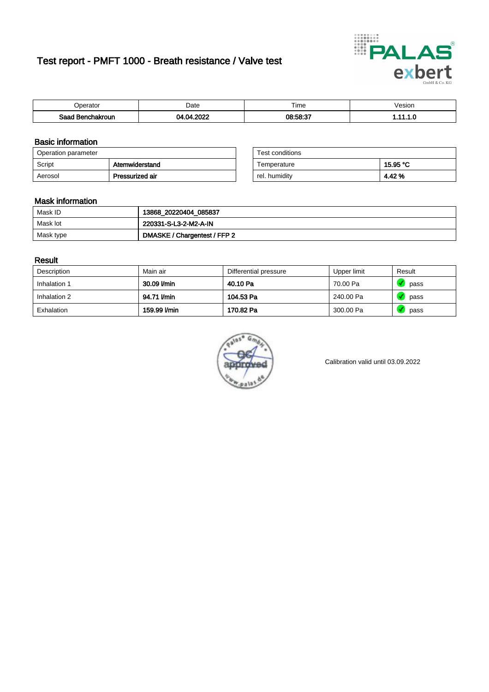# Test report - PMFT 1000 - Breath resistance / Valve test



| <b>'</b> perator               | Date | $- \cdot$<br><b>Time</b> | esion |
|--------------------------------|------|--------------------------|-------|
| Saad<br><b>chakroun</b><br>. . | oooc | 08:58:37                 | .     |

### Basic information

| Operation parameter |                 | Test conditions |          |
|---------------------|-----------------|-----------------|----------|
| Script              | Atemwiderstand  | Temperature     | 15.95 °C |
| Aerosol             | Pressurized air | rel. humidity   | 4.42%    |

| Test conditions |          |
|-----------------|----------|
| Temperature     | 15.95 °C |
| rel. humidity   | 4.42 %   |

### Mask information

| Mask ID   | 13868_20220404_085837        |
|-----------|------------------------------|
| Mask lot  | 220331-S-L3-2-M2-A-IN        |
| Mask type | DMASKE / Chargentest / FFP 2 |

### Result

| Description  | Main air     | Differential pressure | Upper limit | Result |
|--------------|--------------|-----------------------|-------------|--------|
| Inhalation 1 | 30.09 l/min  | 40.10 Pa              | 70.00 Pa    | pass   |
| Inhalation 2 | 94.71 l/min  | 104.53 Pa             | 240.00 Pa   | pass   |
| Exhalation   | 159.99 l/min | 170.82 Pa             | 300.00 Pa   | pass   |



Calibration valid until 03.09.2022